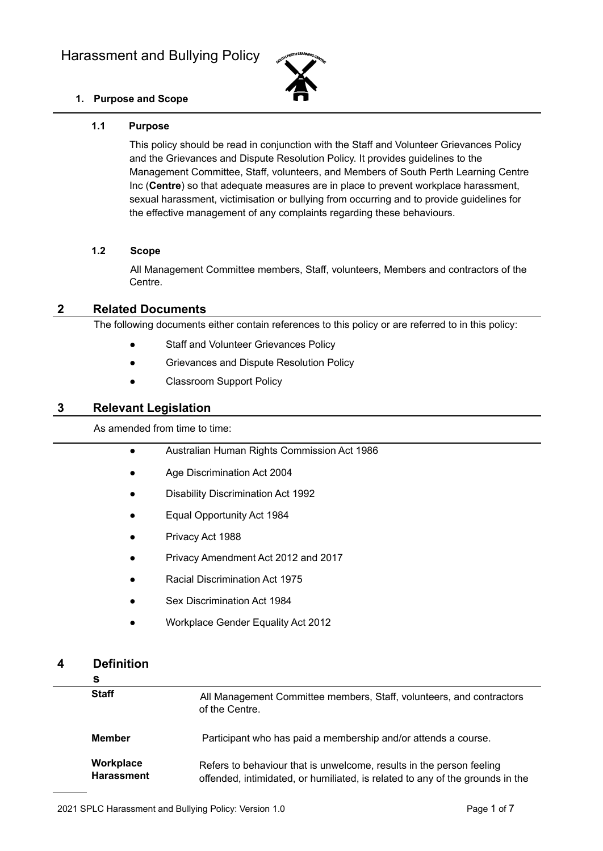

# **1. Purpose and Scope**

## **1.1 Purpose**

This policy should be read in conjunction with the Staff and Volunteer Grievances Policy and the Grievances and Dispute Resolution Policy. It provides guidelines to the Management Committee, Staff, volunteers, and Members of South Perth Learning Centre Inc (**Centre**) so that adequate measures are in place to prevent workplace harassment, sexual harassment, victimisation or bullying from occurring and to provide guidelines for the effective management of any complaints regarding these behaviours.

### **1.2 Scope**

All Management Committee members, Staff, volunteers, Members and contractors of the Centre.

## **2 Related Documents**

The following documents either contain references to this policy or are referred to in this policy:

- Staff and Volunteer Grievances Policy
- Grievances and Dispute Resolution Policy
- Classroom Support Policy

# **3 Relevant Legislation**

## As amended from time to time:

- Australian Human Rights Commission Act 1986
- Age Discrimination Act 2004
- **Disability Discrimination Act 1992**
- Equal Opportunity Act 1984
- Privacy Act 1988
- Privacy Amendment Act 2012 and 2017
- **Racial Discrimination Act 1975**
- Sex Discrimination Act 1984
- Workplace Gender Equality Act 2012

# **4 Definition**

| s                              |                                                                                                                                                       |
|--------------------------------|-------------------------------------------------------------------------------------------------------------------------------------------------------|
| <b>Staff</b>                   | All Management Committee members, Staff, volunteers, and contractors<br>of the Centre.                                                                |
| <b>Member</b>                  | Participant who has paid a membership and/or attends a course.                                                                                        |
| Workplace<br><b>Harassment</b> | Refers to behaviour that is unwelcome, results in the person feeling<br>offended, intimidated, or humiliated, is related to any of the grounds in the |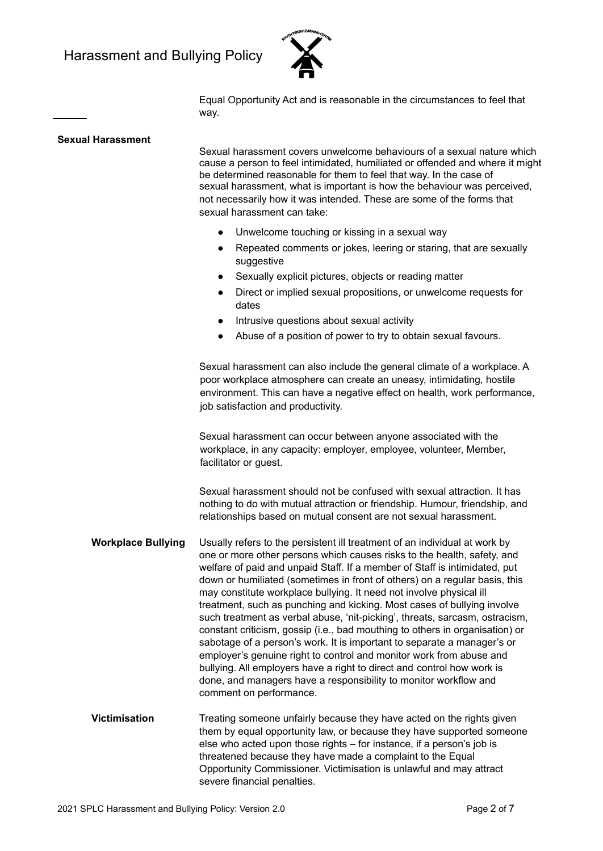

Equal Opportunity Act and is reasonable in the circumstances to feel that way.

#### **Sexual Harassment**

Sexual harassment covers unwelcome behaviours of a sexual nature which cause a person to feel intimidated, humiliated or offended and where it might be determined reasonable for them to feel that way. In the case of sexual harassment, what is important is how the behaviour was perceived, not necessarily how it was intended. These are some of the forms that sexual harassment can take:

- Unwelcome touching or kissing in a sexual way
- Repeated comments or jokes, leering or staring, that are sexually suggestive
- Sexually explicit pictures, objects or reading matter
- Direct or implied sexual propositions, or unwelcome requests for dates
- Intrusive questions about sexual activity
- Abuse of a position of power to try to obtain sexual favours.

Sexual harassment can also include the general climate of a workplace. A poor workplace atmosphere can create an uneasy, intimidating, hostile environment. This can have a negative effect on health, work performance, job satisfaction and productivity.

Sexual harassment can occur between anyone associated with the workplace, in any capacity: employer, employee, volunteer, Member, facilitator or quest.

Sexual harassment should not be confused with sexual attraction. It has nothing to do with mutual attraction or friendship. Humour, friendship, and relationships based on mutual consent are not sexual harassment.

- **Workplace Bullying** Usually refers to the persistent ill treatment of an individual at work by one or more other persons which causes risks to the health, safety, and welfare of paid and unpaid Staff. If a member of Staff is intimidated, put down or humiliated (sometimes in front of others) on a regular basis, this may constitute workplace bullying. It need not involve physical ill treatment, such as punching and kicking. Most cases of bullying involve such treatment as verbal abuse, 'nit-picking', threats, sarcasm, ostracism, constant criticism, gossip (i.e., bad mouthing to others in organisation) or sabotage of a person's work. It is important to separate a manager's or employer's genuine right to control and monitor work from abuse and bullying. All employers have a right to direct and control how work is done, and managers have a responsibility to monitor workflow and comment on performance.
- **Victimisation** Treating someone unfairly because they have acted on the rights given them by equal opportunity law, or because they have supported someone else who acted upon those rights – for instance, if a person's job is threatened because they have made a complaint to the Equal Opportunity Commissioner. Victimisation is unlawful and may attract severe financial penalties.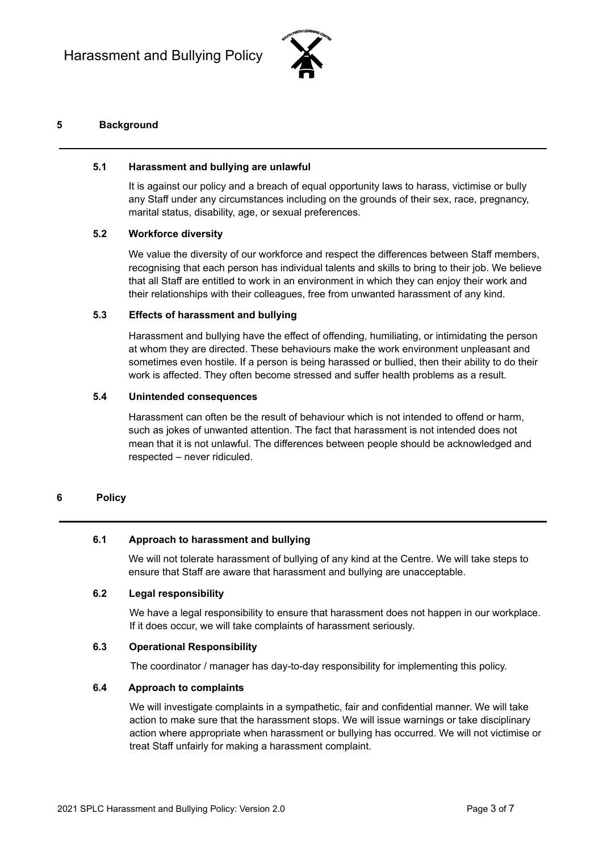

# **5 Background**

## **5.1 Harassment and bullying are unlawful**

It is against our policy and a breach of equal opportunity laws to harass, victimise or bully any Staff under any circumstances including on the grounds of their sex, race, pregnancy, marital status, disability, age, or sexual preferences.

## **5.2 Workforce diversity**

We value the diversity of our workforce and respect the differences between Staff members, recognising that each person has individual talents and skills to bring to their job. We believe that all Staff are entitled to work in an environment in which they can enjoy their work and their relationships with their colleagues, free from unwanted harassment of any kind.

### **5.3 Effects of harassment and bullying**

Harassment and bullying have the effect of offending, humiliating, or intimidating the person at whom they are directed. These behaviours make the work environment unpleasant and sometimes even hostile. If a person is being harassed or bullied, then their ability to do their work is affected. They often become stressed and suffer health problems as a result.

## **5.4 Unintended consequences**

Harassment can often be the result of behaviour which is not intended to offend or harm, such as jokes of unwanted attention. The fact that harassment is not intended does not mean that it is not unlawful. The differences between people should be acknowledged and respected – never ridiculed.

### **6 Policy**

### **6.1 Approach to harassment and bullying**

We will not tolerate harassment of bullying of any kind at the Centre. We will take steps to ensure that Staff are aware that harassment and bullying are unacceptable.

### **6.2 Legal responsibility**

We have a legal responsibility to ensure that harassment does not happen in our workplace. If it does occur, we will take complaints of harassment seriously.

### **6.3 Operational Responsibility**

The coordinator / manager has day-to-day responsibility for implementing this policy.

### **6.4 Approach to complaints**

We will investigate complaints in a sympathetic, fair and confidential manner. We will take action to make sure that the harassment stops. We will issue warnings or take disciplinary action where appropriate when harassment or bullying has occurred. We will not victimise or treat Staff unfairly for making a harassment complaint.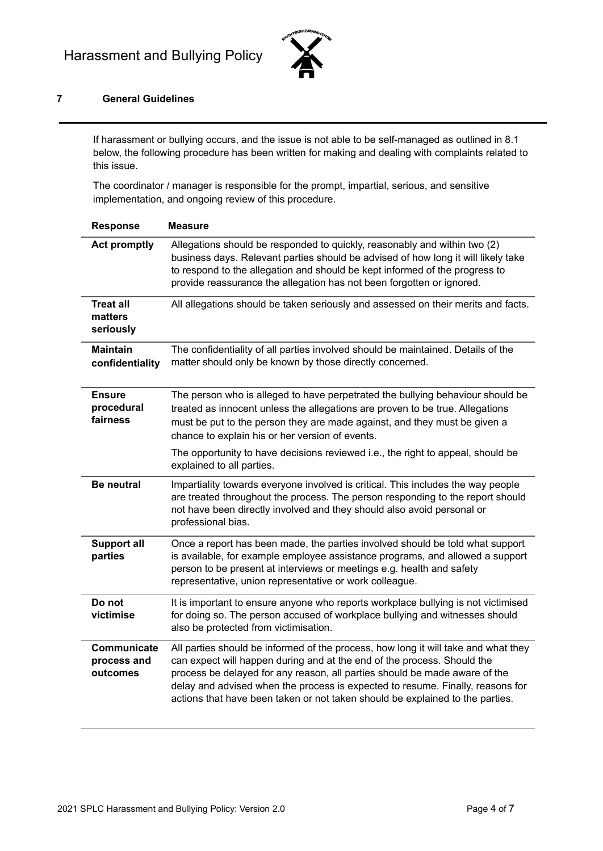

# **7 General Guidelines**

If harassment or bullying occurs, and the issue is not able to be self-managed as outlined in 8.1 below, the following procedure has been written for making and dealing with complaints related to this issue.

The coordinator / manager is responsible for the prompt, impartial, serious, and sensitive implementation, and ongoing review of this procedure.

| <b>Response</b>                          | Measure                                                                                                                                                                                                                                                                                                                                                                                                        |
|------------------------------------------|----------------------------------------------------------------------------------------------------------------------------------------------------------------------------------------------------------------------------------------------------------------------------------------------------------------------------------------------------------------------------------------------------------------|
| <b>Act promptly</b>                      | Allegations should be responded to quickly, reasonably and within two (2)<br>business days. Relevant parties should be advised of how long it will likely take<br>to respond to the allegation and should be kept informed of the progress to<br>provide reassurance the allegation has not been forgotten or ignored.                                                                                         |
| <b>Treat all</b><br>matters<br>seriously | All allegations should be taken seriously and assessed on their merits and facts.                                                                                                                                                                                                                                                                                                                              |
| <b>Maintain</b><br>confidentiality       | The confidentiality of all parties involved should be maintained. Details of the<br>matter should only be known by those directly concerned.                                                                                                                                                                                                                                                                   |
| <b>Ensure</b><br>procedural<br>fairness  | The person who is alleged to have perpetrated the bullying behaviour should be<br>treated as innocent unless the allegations are proven to be true. Allegations<br>must be put to the person they are made against, and they must be given a<br>chance to explain his or her version of events.                                                                                                                |
|                                          | The opportunity to have decisions reviewed i.e., the right to appeal, should be<br>explained to all parties.                                                                                                                                                                                                                                                                                                   |
| <b>Be neutral</b>                        | Impartiality towards everyone involved is critical. This includes the way people<br>are treated throughout the process. The person responding to the report should<br>not have been directly involved and they should also avoid personal or<br>professional bias.                                                                                                                                             |
| <b>Support all</b><br>parties            | Once a report has been made, the parties involved should be told what support<br>is available, for example employee assistance programs, and allowed a support<br>person to be present at interviews or meetings e.g. health and safety<br>representative, union representative or work colleague.                                                                                                             |
| Do not<br>victimise                      | It is important to ensure anyone who reports workplace bullying is not victimised<br>for doing so. The person accused of workplace bullying and witnesses should<br>also be protected from victimisation.                                                                                                                                                                                                      |
| Communicate<br>process and<br>outcomes   | All parties should be informed of the process, how long it will take and what they<br>can expect will happen during and at the end of the process. Should the<br>process be delayed for any reason, all parties should be made aware of the<br>delay and advised when the process is expected to resume. Finally, reasons for<br>actions that have been taken or not taken should be explained to the parties. |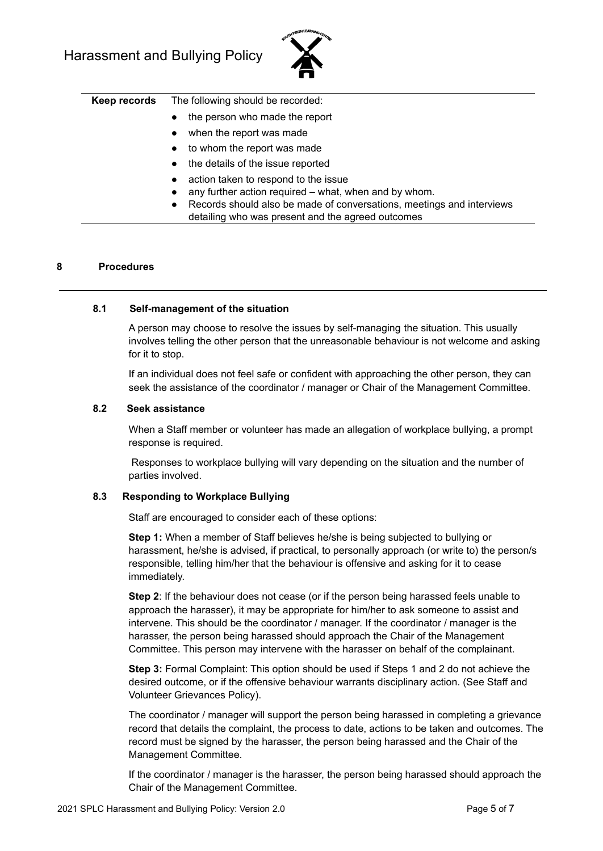

- the person who made the report
- when the report was made
- to whom the report was made
- the details of the issue reported
- action taken to respond to the issue
- any further action required what, when and by whom.
- Records should also be made of conversations, meetings and interviews detailing who was present and the agreed outcomes

#### **8 Procedures**

#### **8.1 Self-management of the situation**

A person may choose to resolve the issues by self-managing the situation. This usually involves telling the other person that the unreasonable behaviour is not welcome and asking for it to stop.

If an individual does not feel safe or confident with approaching the other person, they can seek the assistance of the coordinator / manager or Chair of the Management Committee.

#### **8.2 Seek assistance**

When a Staff member or volunteer has made an allegation of workplace bullying, a prompt response is required.

Responses to workplace bullying will vary depending on the situation and the number of parties involved.

#### **8.3 Responding to Workplace Bullying**

Staff are encouraged to consider each of these options:

**Step 1:** When a member of Staff believes he/she is being subjected to bullying or harassment, he/she is advised, if practical, to personally approach (or write to) the person/s responsible, telling him/her that the behaviour is offensive and asking for it to cease immediately.

**Step 2**: If the behaviour does not cease (or if the person being harassed feels unable to approach the harasser), it may be appropriate for him/her to ask someone to assist and intervene. This should be the coordinator / manager. If the coordinator / manager is the harasser, the person being harassed should approach the Chair of the Management Committee. This person may intervene with the harasser on behalf of the complainant.

**Step 3:** Formal Complaint: This option should be used if Steps 1 and 2 do not achieve the desired outcome, or if the offensive behaviour warrants disciplinary action. (See Staff and Volunteer Grievances Policy).

The coordinator / manager will support the person being harassed in completing a grievance record that details the complaint, the process to date, actions to be taken and outcomes. The record must be signed by the harasser, the person being harassed and the Chair of the Management Committee.

If the coordinator / manager is the harasser, the person being harassed should approach the Chair of the Management Committee.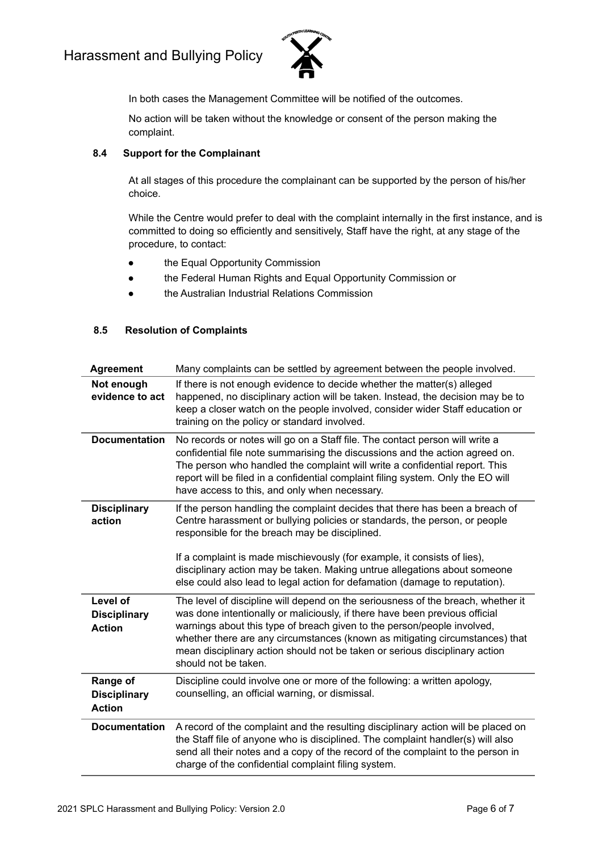

In both cases the Management Committee will be notified of the outcomes.

No action will be taken without the knowledge or consent of the person making the complaint.

## **8.4 Support for the Complainant**

At all stages of this procedure the complainant can be supported by the person of his/her choice.

While the Centre would prefer to deal with the complaint internally in the first instance, and is committed to doing so efficiently and sensitively, Staff have the right, at any stage of the procedure, to contact:

- the Equal Opportunity Commission
- the Federal Human Rights and Equal Opportunity Commission or
- the Australian Industrial Relations Commission

### **8.5 Resolution of Complaints**

| <b>Agreement</b>                                 | Many complaints can be settled by agreement between the people involved.                                                                                                                                                                                                                                                                                                                                                                             |
|--------------------------------------------------|------------------------------------------------------------------------------------------------------------------------------------------------------------------------------------------------------------------------------------------------------------------------------------------------------------------------------------------------------------------------------------------------------------------------------------------------------|
| Not enough<br>evidence to act                    | If there is not enough evidence to decide whether the matter(s) alleged<br>happened, no disciplinary action will be taken. Instead, the decision may be to<br>keep a closer watch on the people involved, consider wider Staff education or<br>training on the policy or standard involved.                                                                                                                                                          |
| <b>Documentation</b>                             | No records or notes will go on a Staff file. The contact person will write a<br>confidential file note summarising the discussions and the action agreed on.<br>The person who handled the complaint will write a confidential report. This<br>report will be filed in a confidential complaint filing system. Only the EO will<br>have access to this, and only when necessary.                                                                     |
| <b>Disciplinary</b><br>action                    | If the person handling the complaint decides that there has been a breach of<br>Centre harassment or bullying policies or standards, the person, or people<br>responsible for the breach may be disciplined.<br>If a complaint is made mischievously (for example, it consists of lies),<br>disciplinary action may be taken. Making untrue allegations about someone<br>else could also lead to legal action for defamation (damage to reputation). |
| Level of<br><b>Disciplinary</b><br><b>Action</b> | The level of discipline will depend on the seriousness of the breach, whether it<br>was done intentionally or maliciously, if there have been previous official<br>warnings about this type of breach given to the person/people involved,<br>whether there are any circumstances (known as mitigating circumstances) that<br>mean disciplinary action should not be taken or serious disciplinary action<br>should not be taken.                    |
| Range of<br><b>Disciplinary</b><br><b>Action</b> | Discipline could involve one or more of the following: a written apology,<br>counselling, an official warning, or dismissal.                                                                                                                                                                                                                                                                                                                         |
| <b>Documentation</b>                             | A record of the complaint and the resulting disciplinary action will be placed on<br>the Staff file of anyone who is disciplined. The complaint handler(s) will also<br>send all their notes and a copy of the record of the complaint to the person in<br>charge of the confidential complaint filing system.                                                                                                                                       |